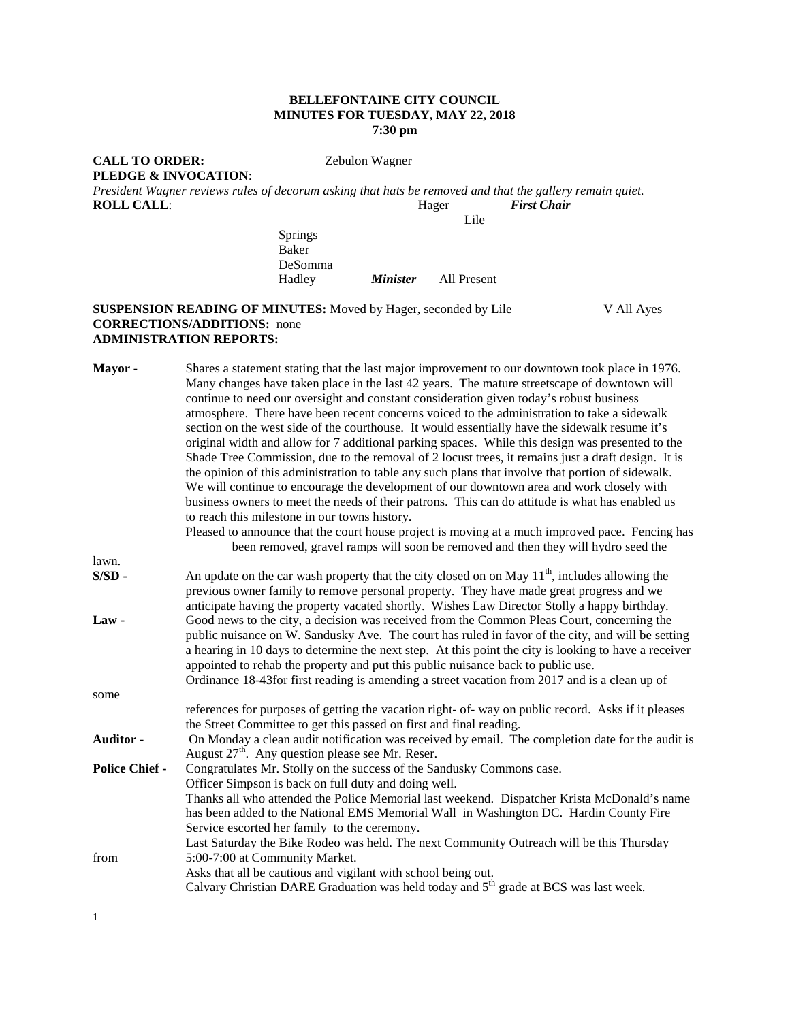### **BELLEFONTAINE CITY COUNCIL MINUTES FOR TUESDAY, MAY 22, 2018 7:30 pm**

# **PLEDGE & INVOCATION**:

**CALL TO ORDER:** Zebulon Wagner

*President Wagner reviews rules of decorum asking that hats be removed and that the gallery remain quiet.*  **ROLL CALL:** 

Lile

Springs Baker DeSomma *Minister* **All Present** 

### **SUSPENSION READING OF MINUTES:** Moved by Hager, seconded by Lile V All Ayes **CORRECTIONS/ADDITIONS:** none **ADMINISTRATION REPORTS:**

| Mayor-                | Shares a statement stating that the last major improvement to our downtown took place in 1976.<br>Many changes have taken place in the last 42 years. The mature streetscape of downtown will<br>continue to need our oversight and constant consideration given today's robust business<br>atmosphere. There have been recent concerns voiced to the administration to take a sidewalk<br>section on the west side of the courthouse. It would essentially have the sidewalk resume it's<br>original width and allow for 7 additional parking spaces. While this design was presented to the<br>Shade Tree Commission, due to the removal of 2 locust trees, it remains just a draft design. It is<br>the opinion of this administration to table any such plans that involve that portion of sidewalk.<br>We will continue to encourage the development of our downtown area and work closely with<br>business owners to meet the needs of their patrons. This can do attitude is what has enabled us<br>to reach this milestone in our towns history.<br>Pleased to announce that the court house project is moving at a much improved pace. Fencing has |  |
|-----------------------|-------------------------------------------------------------------------------------------------------------------------------------------------------------------------------------------------------------------------------------------------------------------------------------------------------------------------------------------------------------------------------------------------------------------------------------------------------------------------------------------------------------------------------------------------------------------------------------------------------------------------------------------------------------------------------------------------------------------------------------------------------------------------------------------------------------------------------------------------------------------------------------------------------------------------------------------------------------------------------------------------------------------------------------------------------------------------------------------------------------------------------------------------------------|--|
|                       | been removed, gravel ramps will soon be removed and then they will hydro seed the                                                                                                                                                                                                                                                                                                                                                                                                                                                                                                                                                                                                                                                                                                                                                                                                                                                                                                                                                                                                                                                                           |  |
| lawn.                 |                                                                                                                                                                                                                                                                                                                                                                                                                                                                                                                                                                                                                                                                                                                                                                                                                                                                                                                                                                                                                                                                                                                                                             |  |
| $S/SD$ -              | An update on the car wash property that the city closed on on May $11^{th}$ , includes allowing the<br>previous owner family to remove personal property. They have made great progress and we<br>anticipate having the property vacated shortly. Wishes Law Director Stolly a happy birthday.                                                                                                                                                                                                                                                                                                                                                                                                                                                                                                                                                                                                                                                                                                                                                                                                                                                              |  |
| Law-                  | Good news to the city, a decision was received from the Common Pleas Court, concerning the<br>public nuisance on W. Sandusky Ave. The court has ruled in favor of the city, and will be setting<br>a hearing in 10 days to determine the next step. At this point the city is looking to have a receiver<br>appointed to rehab the property and put this public nuisance back to public use.<br>Ordinance 18-43 for first reading is amending a street vacation from 2017 and is a clean up of                                                                                                                                                                                                                                                                                                                                                                                                                                                                                                                                                                                                                                                              |  |
| some                  |                                                                                                                                                                                                                                                                                                                                                                                                                                                                                                                                                                                                                                                                                                                                                                                                                                                                                                                                                                                                                                                                                                                                                             |  |
|                       | references for purposes of getting the vacation right- of-way on public record. Asks if it pleases<br>the Street Committee to get this passed on first and final reading.                                                                                                                                                                                                                                                                                                                                                                                                                                                                                                                                                                                                                                                                                                                                                                                                                                                                                                                                                                                   |  |
| Auditor -             | On Monday a clean audit notification was received by email. The completion date for the audit is<br>August 27 <sup>th</sup> . Any question please see Mr. Reser.                                                                                                                                                                                                                                                                                                                                                                                                                                                                                                                                                                                                                                                                                                                                                                                                                                                                                                                                                                                            |  |
| <b>Police Chief -</b> | Congratulates Mr. Stolly on the success of the Sandusky Commons case.<br>Officer Simpson is back on full duty and doing well.<br>Thanks all who attended the Police Memorial last weekend. Dispatcher Krista McDonald's name<br>has been added to the National EMS Memorial Wall in Washington DC. Hardin County Fire<br>Service escorted her family to the ceremony.<br>Last Saturday the Bike Rodeo was held. The next Community Outreach will be this Thursday                                                                                                                                                                                                                                                                                                                                                                                                                                                                                                                                                                                                                                                                                           |  |
| from                  | 5:00-7:00 at Community Market.<br>Asks that all be cautious and vigilant with school being out.<br>Calvary Christian DARE Graduation was held today and 5 <sup>th</sup> grade at BCS was last week.                                                                                                                                                                                                                                                                                                                                                                                                                                                                                                                                                                                                                                                                                                                                                                                                                                                                                                                                                         |  |

1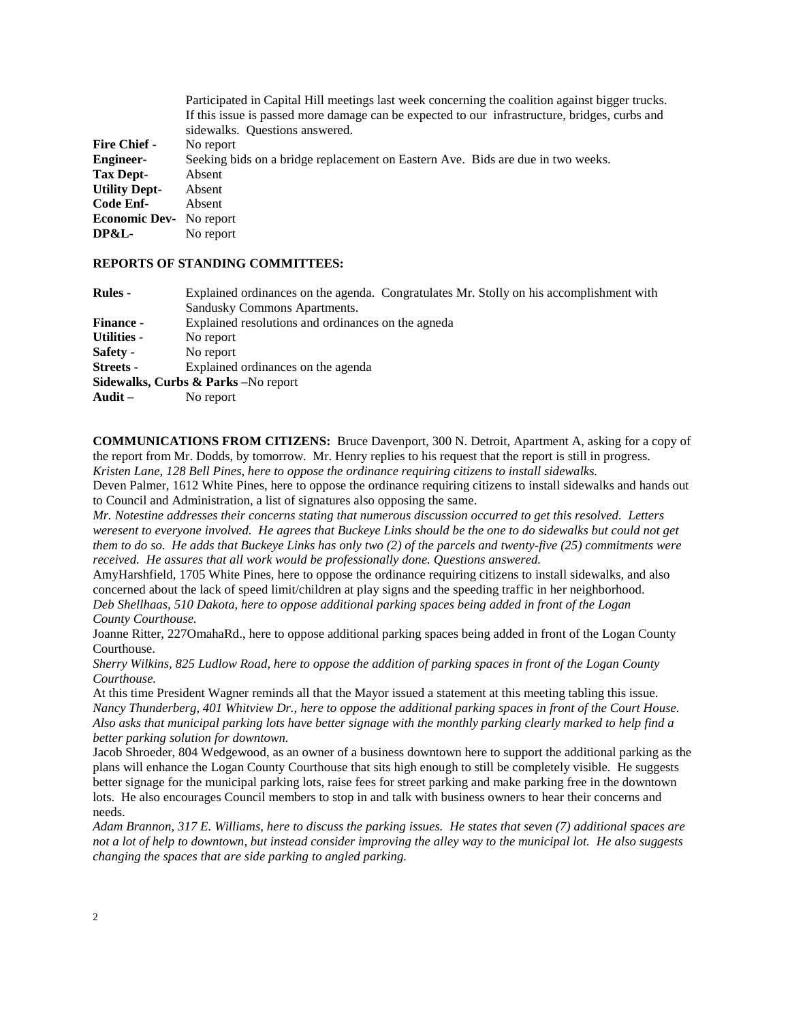|                                | Participated in Capital Hill meetings last week concerning the coalition against bigger trucks. |
|--------------------------------|-------------------------------------------------------------------------------------------------|
|                                | If this issue is passed more damage can be expected to our infrastructure, bridges, curbs and   |
|                                | sidewalks. Questions answered.                                                                  |
| <b>Fire Chief -</b>            | No report                                                                                       |
| <b>Engineer-</b>               | Seeking bids on a bridge replacement on Eastern Ave. Bids are due in two weeks.                 |
| Tax Dept-                      | Absent                                                                                          |
| <b>Utility Dept-</b>           | Absent                                                                                          |
| Code Enf-                      | Absent                                                                                          |
| <b>Economic Dev-</b> No report |                                                                                                 |
| DP&L-                          | No report                                                                                       |
|                                |                                                                                                 |

#### **REPORTS OF STANDING COMMITTEES:**

| <b>Rules</b> -   | Explained ordinances on the agenda. Congratulates Mr. Stolly on his accomplishment with<br>Sandusky Commons Apartments. |  |  |
|------------------|-------------------------------------------------------------------------------------------------------------------------|--|--|
| <b>Finance -</b> | Explained resolutions and ordinances on the agneda                                                                      |  |  |
| Utilities -      | No report                                                                                                               |  |  |
| <b>Safety -</b>  | No report                                                                                                               |  |  |
| <b>Streets -</b> | Explained ordinances on the agenda                                                                                      |  |  |
|                  | Sidewalks, Curbs & Parks - No report                                                                                    |  |  |
| Audit –          | No report                                                                                                               |  |  |
|                  |                                                                                                                         |  |  |

**COMMUNICATIONS FROM CITIZENS:** Bruce Davenport, 300 N. Detroit, Apartment A, asking for a copy of the report from Mr. Dodds, by tomorrow. Mr. Henry replies to his request that the report is still in progress. *Kristen Lane, 128 Bell Pines, here to oppose the ordinance requiring citizens to install sidewalks.*

Deven Palmer, 1612 White Pines, here to oppose the ordinance requiring citizens to install sidewalks and hands out to Council and Administration, a list of signatures also opposing the same.

*Mr. Notestine addresses their concerns stating that numerous discussion occurred to get this resolved. Letters weresent to everyone involved. He agrees that Buckeye Links should be the one to do sidewalks but could not get them to do so. He adds that Buckeye Links has only two (2) of the parcels and twenty-five (25) commitments were received. He assures that all work would be professionally done. Questions answered.*

AmyHarshfield, 1705 White Pines, here to oppose the ordinance requiring citizens to install sidewalks, and also concerned about the lack of speed limit/children at play signs and the speeding traffic in her neighborhood. *Deb Shellhaas, 510 Dakota, here to oppose additional parking spaces being added in front of the Logan County Courthouse.* 

Joanne Ritter, 227OmahaRd., here to oppose additional parking spaces being added in front of the Logan County Courthouse.

*Sherry Wilkins, 825 Ludlow Road, here to oppose the addition of parking spaces in front of the Logan County Courthouse.*

At this time President Wagner reminds all that the Mayor issued a statement at this meeting tabling this issue. *Nancy Thunderberg, 401 Whitview Dr., here to oppose the additional parking spaces in front of the Court House. Also asks that municipal parking lots have better signage with the monthly parking clearly marked to help find a better parking solution for downtown.*

Jacob Shroeder, 804 Wedgewood, as an owner of a business downtown here to support the additional parking as the plans will enhance the Logan County Courthouse that sits high enough to still be completely visible. He suggests better signage for the municipal parking lots, raise fees for street parking and make parking free in the downtown lots. He also encourages Council members to stop in and talk with business owners to hear their concerns and needs.

*Adam Brannon, 317 E. Williams, here to discuss the parking issues. He states that seven (7) additional spaces are not a lot of help to downtown, but instead consider improving the alley way to the municipal lot. He also suggests changing the spaces that are side parking to angled parking.*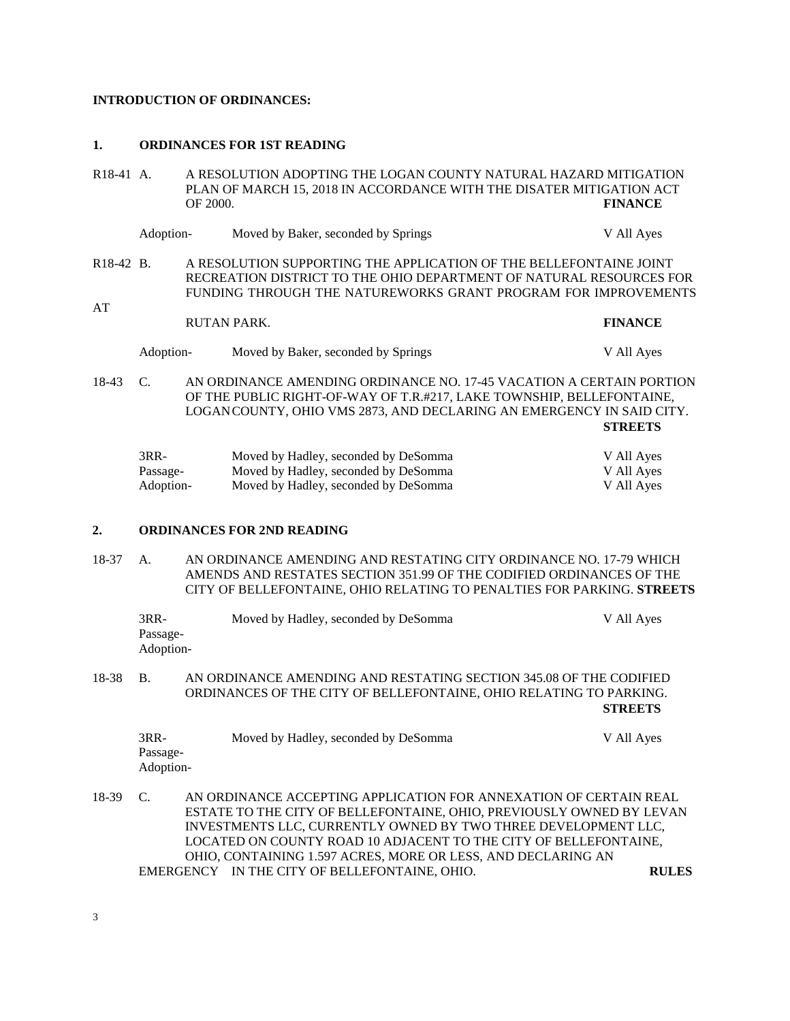### **INTRODUCTION OF ORDINANCES:**

#### **1. ORDINANCES FOR 1ST READING**

| $R18-41 A$ .                                                                                                                                                                                                                                      | A RESOLUTION ADOPTING THE LOGAN COUNTY NATURAL HAZARD MITIGATION<br>PLAN OF MARCH 15, 2018 IN ACCORDANCE WITH THE DISATER MITIGATION ACT<br>OF 2000.                                                                                  |  |                                                                                                                      | <b>FINANCE</b>                         |
|---------------------------------------------------------------------------------------------------------------------------------------------------------------------------------------------------------------------------------------------------|---------------------------------------------------------------------------------------------------------------------------------------------------------------------------------------------------------------------------------------|--|----------------------------------------------------------------------------------------------------------------------|----------------------------------------|
|                                                                                                                                                                                                                                                   | Adoption-                                                                                                                                                                                                                             |  | Moved by Baker, seconded by Springs                                                                                  | V All Ayes                             |
| AT                                                                                                                                                                                                                                                | A RESOLUTION SUPPORTING THE APPLICATION OF THE BELLEFONTAINE JOINT<br>R <sub>18</sub> -42 B.<br>RECREATION DISTRICT TO THE OHIO DEPARTMENT OF NATURAL RESOURCES FOR<br>FUNDING THROUGH THE NATUREWORKS GRANT PROGRAM FOR IMPROVEMENTS |  |                                                                                                                      |                                        |
|                                                                                                                                                                                                                                                   | <b>RUTAN PARK.</b>                                                                                                                                                                                                                    |  | <b>FINANCE</b>                                                                                                       |                                        |
|                                                                                                                                                                                                                                                   | Adoption-                                                                                                                                                                                                                             |  | Moved by Baker, seconded by Springs                                                                                  | V All Ayes                             |
| AN ORDINANCE AMENDING ORDINANCE NO. 17-45 VACATION A CERTAIN PORTION<br>18-43<br>$\mathcal{C}$ .<br>OF THE PUBLIC RIGHT-OF-WAY OF T.R.#217, LAKE TOWNSHIP, BELLEFONTAINE,<br>LOGANCOUNTY, OHIO VMS 2873, AND DECLARING AN EMERGENCY IN SAID CITY. |                                                                                                                                                                                                                                       |  | <b>STREETS</b>                                                                                                       |                                        |
|                                                                                                                                                                                                                                                   | $3RR-$<br>Passage-<br>Adoption-                                                                                                                                                                                                       |  | Moved by Hadley, seconded by DeSomma<br>Moved by Hadley, seconded by DeSomma<br>Moved by Hadley, seconded by DeSomma | V All Ayes<br>V All Ayes<br>V All Ayes |

## **2. ORDINANCES FOR 2ND READING**

18-37 A. AN ORDINANCE AMENDING AND RESTATING CITY ORDINANCE NO. 17-79 WHICH AMENDS AND RESTATES SECTION 351.99 OF THE CODIFIED ORDINANCES OF THE CITY OF BELLEFONTAINE, OHIO RELATING TO PENALTIES FOR PARKING. **STREETS**

|       | $3RR-$<br>Passage-<br>Adoption- | Moved by Hadley, seconded by DeSomma                                                                                                                                                                                                                                                                                                            | V All Ayes     |
|-------|---------------------------------|-------------------------------------------------------------------------------------------------------------------------------------------------------------------------------------------------------------------------------------------------------------------------------------------------------------------------------------------------|----------------|
| 18-38 | <b>B.</b>                       | AN ORDINANCE AMENDING AND RESTATING SECTION 345.08 OF THE CODIFIED<br>ORDINANCES OF THE CITY OF BELLEFONTAINE, OHIO RELATING TO PARKING.                                                                                                                                                                                                        | <b>STREETS</b> |
|       | $3RR-$<br>Passage-<br>Adoption- | Moved by Hadley, seconded by DeSomma                                                                                                                                                                                                                                                                                                            | V All Ayes     |
| 18-39 | C.                              | AN ORDINANCE ACCEPTING APPLICATION FOR ANNEXATION OF CERTAIN REAL<br>ESTATE TO THE CITY OF BELLEFONTAINE, OHIO, PREVIOUSLY OWNED BY LEVAN<br>INVESTMENTS LLC, CURRENTLY OWNED BY TWO THREE DEVELOPMENT LLC,<br>LOCATED ON COUNTY ROAD 10 ADJACENT TO THE CITY OF BELLEFONTAINE,<br>OHIO, CONTAINING 1.597 ACRES, MORE OR LESS, AND DECLARING AN |                |
|       |                                 | EMERGENCY IN THE CITY OF BELLEFONTAINE, OHIO.                                                                                                                                                                                                                                                                                                   | <b>RULES</b>   |